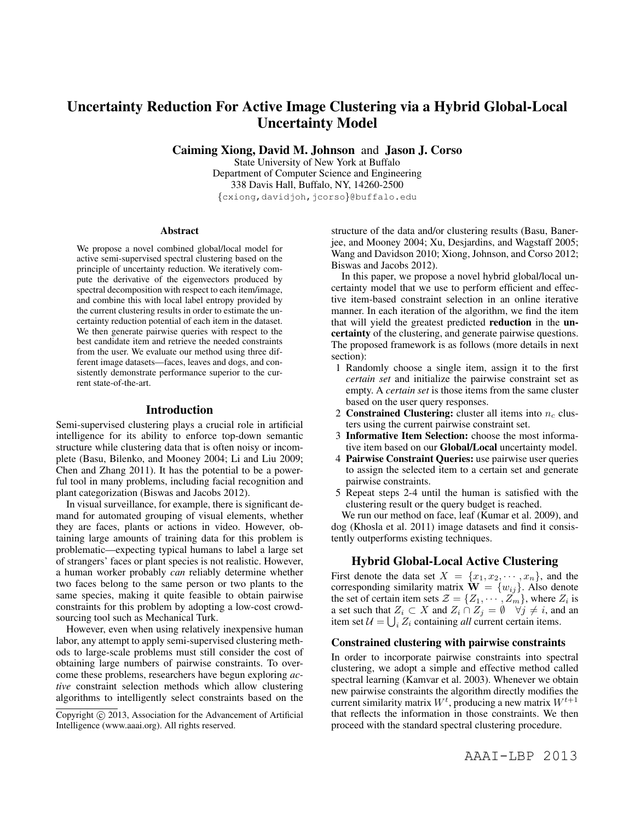# Uncertainty Reduction For Active Image Clustering via a Hybrid Global-Local Uncertainty Model

Caiming Xiong, David M. Johnson and Jason J. Corso

State University of New York at Buffalo Department of Computer Science and Engineering 338 Davis Hall, Buffalo, NY, 14260-2500 {cxiong,davidjoh,jcorso}@buffalo.edu

#### Abstract

We propose a novel combined global/local model for active semi-supervised spectral clustering based on the principle of uncertainty reduction. We iteratively compute the derivative of the eigenvectors produced by spectral decomposition with respect to each item/image, and combine this with local label entropy provided by the current clustering results in order to estimate the uncertainty reduction potential of each item in the dataset. We then generate pairwise queries with respect to the best candidate item and retrieve the needed constraints from the user. We evaluate our method using three different image datasets—faces, leaves and dogs, and consistently demonstrate performance superior to the current state-of-the-art.

## Introduction

Semi-supervised clustering plays a crucial role in artificial intelligence for its ability to enforce top-down semantic structure while clustering data that is often noisy or incomplete (Basu, Bilenko, and Mooney 2004; Li and Liu 2009; Chen and Zhang 2011). It has the potential to be a powerful tool in many problems, including facial recognition and plant categorization (Biswas and Jacobs 2012).

In visual surveillance, for example, there is significant demand for automated grouping of visual elements, whether they are faces, plants or actions in video. However, obtaining large amounts of training data for this problem is problematic—expecting typical humans to label a large set of strangers' faces or plant species is not realistic. However, a human worker probably *can* reliably determine whether two faces belong to the same person or two plants to the same species, making it quite feasible to obtain pairwise constraints for this problem by adopting a low-cost crowdsourcing tool such as Mechanical Turk.

However, even when using relatively inexpensive human labor, any attempt to apply semi-supervised clustering methods to large-scale problems must still consider the cost of obtaining large numbers of pairwise constraints. To overcome these problems, researchers have begun exploring *active* constraint selection methods which allow clustering algorithms to intelligently select constraints based on the

structure of the data and/or clustering results (Basu, Banerjee, and Mooney 2004; Xu, Desjardins, and Wagstaff 2005; Wang and Davidson 2010; Xiong, Johnson, and Corso 2012; Biswas and Jacobs 2012).

In this paper, we propose a novel hybrid global/local uncertainty model that we use to perform efficient and effective item-based constraint selection in an online iterative manner. In each iteration of the algorithm, we find the item that will yield the greatest predicted reduction in the uncertainty of the clustering, and generate pairwise questions. The proposed framework is as follows (more details in next section):

- 1 Randomly choose a single item, assign it to the first *certain set* and initialize the pairwise constraint set as empty. A *certain set* is those items from the same cluster based on the user query responses.
- 2 Constrained Clustering: cluster all items into  $n_c$  clusters using the current pairwise constraint set.
- 3 Informative Item Selection: choose the most informative item based on our Global/Local uncertainty model.
- 4 Pairwise Constraint Queries: use pairwise user queries to assign the selected item to a certain set and generate pairwise constraints.
- 5 Repeat steps 2-4 until the human is satisfied with the clustering result or the query budget is reached.

We run our method on face, leaf (Kumar et al. 2009), and dog (Khosla et al. 2011) image datasets and find it consistently outperforms existing techniques.

## Hybrid Global-Local Active Clustering

First denote the data set  $X = \{x_1, x_2, \dots, x_n\}$ , and the corresponding similarity matrix  $\dot{\mathbf{W}} = \{w_{ij}\}\$ . Also denote the set of certain item sets  $\mathcal{Z} = \{Z_1, \cdots, Z_m\}$ , where  $Z_i$  is a set such that  $Z_i \subset X$  and  $Z_i \cap Z_j = \emptyset$   $\forall j \neq i$ , and an item set  $\mathcal{U} = \bigcup_i Z_i$  containing *all* current certain items.

## Constrained clustering with pairwise constraints

In order to incorporate pairwise constraints into spectral clustering, we adopt a simple and effective method called spectral learning (Kamvar et al. 2003). Whenever we obtain new pairwise constraints the algorithm directly modifies the current similarity matrix  $W^t$ , producing a new matrix  $W^{t+1}$ that reflects the information in those constraints. We then proceed with the standard spectral clustering procedure.

Copyright  $\odot$  2013, Association for the Advancement of Artificial Intelligence (www.aaai.org). All rights reserved.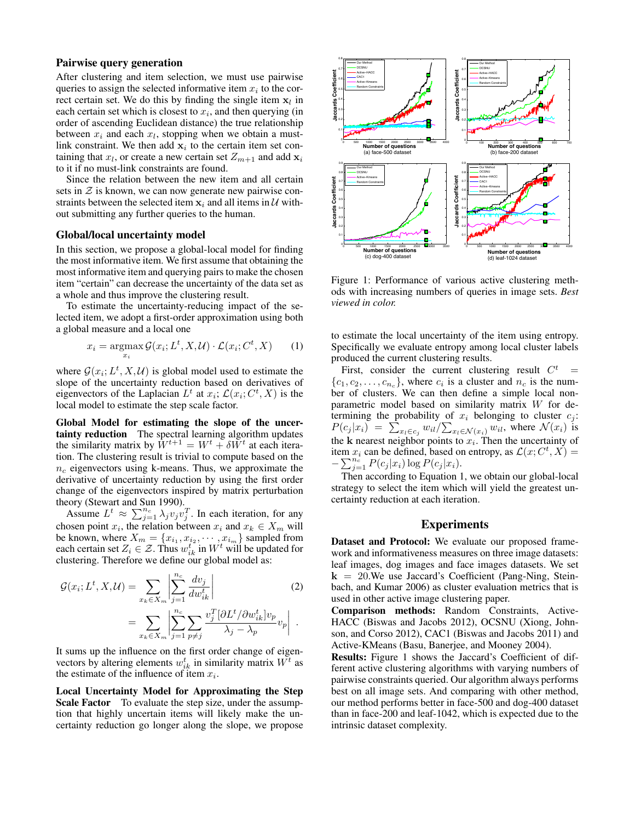## Pairwise query generation

After clustering and item selection, we must use pairwise queries to assign the selected informative item  $x_i$  to the correct certain set. We do this by finding the single item  $x_l$  in each certain set which is closest to  $x_i$ , and then querying (in order of ascending Euclidean distance) the true relationship between  $x_i$  and each  $x_l$ , stopping when we obtain a mustlink constraint. We then add  $x_i$  to the certain item set containing that  $x_l$ , or create a new certain set  $Z_{m+1}$  and add  $x_i$ to it if no must-link constraints are found.

Since the relation between the new item and all certain sets in  $\mathcal Z$  is known, we can now generate new pairwise constraints between the selected item  $x_i$  and all items in U without submitting any further queries to the human.

#### Global/local uncertainty model

In this section, we propose a global-local model for finding the most informative item. We first assume that obtaining the most informative item and querying pairs to make the chosen item "certain" can decrease the uncertainty of the data set as a whole and thus improve the clustering result.

To estimate the uncertainty-reducing impact of the selected item, we adopt a first-order approximation using both a global measure and a local one

$$
x_i = \operatorname*{argmax}_{x_i} \mathcal{G}(x_i; L^t, X, \mathcal{U}) \cdot \mathcal{L}(x_i; C^t, X) \qquad (1)
$$

where  $G(x_i; L^t, X, \mathcal{U})$  is global model used to estimate the slope of the uncertainty reduction based on derivatives of eigenvectors of the Laplacian  $L^t$  at  $x_i$ ;  $\mathcal{L}(x_i; C^t, X)$  is the local model to estimate the step scale factor.

Global Model for estimating the slope of the uncertainty reduction The spectral learning algorithm updates the similarity matrix by  $\hat{W}^{t+1} = W^t + \delta \hat{W}^t$  at each iteration. The clustering result is trivial to compute based on the  $n_c$  eigenvectors using k-means. Thus, we approximate the derivative of uncertainty reduction by using the first order change of the eigenvectors inspired by matrix perturbation theory (Stewart and Sun 1990).

Assume  $L^t \approx \sum_{j=1}^{n_c} \lambda_j v_j v_j^T$ . In each iteration, for any chosen point  $x_i$ , the relation between  $x_i$  and  $x_k \in X_m$  will be known, where  $X_m = \{x_{i_1}, x_{i_2}, \cdots, x_{i_m}\}$  sampled from each certain set  $Z_i \in \mathcal{Z}$ . Thus  $w_{ik}^t$  in  $W^t$  will be updated for clustering. Therefore we define our global model as:

$$
\mathcal{G}(x_i; L^t, X, \mathcal{U}) = \sum_{x_k \in X_m} \left| \sum_{j=1}^{n_c} \frac{dv_j}{dw_{ik}^t} \right|
$$
\n
$$
= \sum_{x_k \in X_m} \left| \sum_{j=1}^{n_c} \sum_{p \neq j} \frac{v_j^T [\partial L^t / \partial w_{ik}^t] v_p}{\lambda_j - \lambda_p} v_p \right| .
$$
\n(2)

It sums up the influence on the first order change of eigenvectors by altering elements  $w_{ik}^t$  in similarity matrix  $W^t$  as the estimate of the influence of item  $x_i$ .

Local Uncertainty Model for Approximating the Step Scale Factor To evaluate the step size, under the assumption that highly uncertain items will likely make the uncertainty reduction go longer along the slope, we propose



Figure 1: Performance of various active clustering methods with increasing numbers of queries in image sets. *Best viewed in color.*

to estimate the local uncertainty of the item using entropy. Specifically we evaluate entropy among local cluster labels produced the current clustering results.

First, consider the current clustering result  $C^t$  =  $\{c_1, c_2, \ldots, c_{n_c}\}\$ , where  $c_i$  is a cluster and  $n_c$  is the number of clusters. We can then define a simple local nonparametric model based on similarity matrix W for determining the probability of  $x_i$  belonging to cluster  $c_j$ :  $P(c_j | x_i) = \sum_{x_i \in c_j} w_{il} / \sum_{x_i \in \mathcal{N}(x_i)} w_{il}$ , where  $\mathcal{N}(x_i)$  is the k nearest neighbor points to  $x_i$ . Then the uncertainty of item  $x_i$  can be defined, based on entropy, as  $\mathcal{L}(x; C^t, X) =$  $-\sum_{j=1}^{n_c} P(c_j | x_i) \log P(c_j | x_i).$ 

Then according to Equation 1, we obtain our global-local strategy to select the item which will yield the greatest uncertainty reduction at each iteration.

## Experiments

Dataset and Protocol: We evaluate our proposed framework and informativeness measures on three image datasets: leaf images, dog images and face images datasets. We set  $k = 20$ . We use Jaccard's Coefficient (Pang-Ning, Steinbach, and Kumar 2006) as cluster evaluation metrics that is used in other active image clustering paper.

Comparison methods: Random Constraints, Active-HACC (Biswas and Jacobs 2012), OCSNU (Xiong, Johnson, and Corso 2012), CAC1 (Biswas and Jacobs 2011) and Active-KMeans (Basu, Banerjee, and Mooney 2004).

Results: Figure 1 shows the Jaccard's Coefficient of different active clustering algorithms with varying numbers of pairwise constraints queried. Our algorithm always performs best on all image sets. And comparing with other method, our method performs better in face-500 and dog-400 dataset than in face-200 and leaf-1042, which is expected due to the intrinsic dataset complexity.